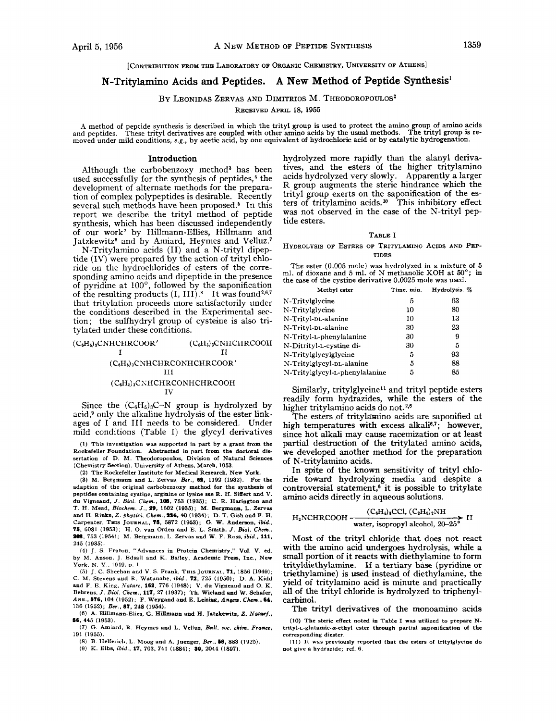# [CONTRIBUTION FROM THE LABORATORY OF ORGANIC CHEbtISTRY, UNIVERSITY **OF** ATHENS]

# **N-Tritylamino Acids and Peptides. A New Method of Peptide Synthesis'**

## BY LEONIDAS ZERVAS AND DIMITRIOS M. THEODOROPOULOS<sup>2</sup>

RECEIVED APRIL 18, 1955

A method of peptide synthesis is described in which the trityl group is used to protect the amino group of amino acids<br>and peptides. These trityl derivatives are coupled with other amino acids by the usual methods. The tri moved under mild conditions, **e.g.,** by acetic acid, by one equivalent **of** hydrochloric acid or by catalytic hydrogenation.

## **Introduction**

Although the carbobenzoxy method<sup>3</sup> has been used successfully for the synthesis of peptides,<sup>4</sup> the development of alternate methods for the preparation of complex polypeptides is desirable. Recently several such methods have been proposed.<sup>5</sup> In this report we describe the trityl method of peptide synthesis, which has been discussed independently of our work2 by Hillmann-Ellies, Hillmann and Jatzkewitz6 and by Amiard, Heymes and Velluz.'

N-Tritylamino acids (11) and a N-trityl dipeptide (IV) were prepared by the action of trityl chloride on the hydrochlorides of esters of the corresponding amino acids and dipeptide in the presence of pyridine at  $100^\circ$ , followed by the saponification of the resulting products  $(I, III)$ .<sup>8</sup> It was found<sup>2,6,7</sup> that tritylation proceeds more satisfactorily under the conditions described in the Experimental section; the sulfhydryl **group** of cysteine is also tritylated under these conditions.

| $(C_6H_5)_3$ CNHCHRCOOR'              | $(C_6H_5)_3$ CNHCHRCOOH |  |  |  |  |
|---------------------------------------|-------------------------|--|--|--|--|
|                                       |                         |  |  |  |  |
| $(C_{6}H_{b})_{3}$ CNHCHRCONHCHRCOOR' |                         |  |  |  |  |
| ш                                     |                         |  |  |  |  |
| $(C_{6}H_{5})_{3}$ CNHCHRCONHCHRCOOH  |                         |  |  |  |  |
| ΤV                                    |                         |  |  |  |  |

Since the  $(C_6H_5)_3C-N$  group is hydrolyzed by acid,<sup>9</sup> only the alkaline hydrolysis of the ester linkages of **I** and I11 needs to be considered. Under mild conditions (Table I) the glycyl derivatives

**(1) This investigation was supported in part by a grant from the Rockefeller Foundation. Abstracted in part from the doctoral die**  sertation of D. M. Theodoropoulos, Division of Natural Sciences **(Chemistry Section), University of Athens, March, 1953.** 

**(2) The Rockefeller Institute for Medical Research, New York.** 

**(3) M. Bergmann and L.** Zervas, **&r., 69, 1192 (1932). For the adaption of the original carbobenzoxy method for the synthesis of peptides containing cystine, arginine or lysine see R. H. Siffert and** V. **du Vigneaud,** *J. Bid. Chnn.,* **10% 753 (1935); C. R. Haringon and T. H. Mead,** *Biochem. J.,* **Yo, 1602 (1935); M. Bergmann, L.** Zervas **and H. Rinke. Z.** *physiol. Chcm..* **n4, 40 (1934); D. T. Gish and F. H. Carpenter, THIS JOURNAL,** *76,* **5872 (1953); G. W. hduan, ibid..**  75, 6081 (1953); H. O. van Orden and E. L. Smith, J. Biol. Chem., 208, 753 (1954); M. Bergmann, L. Zervas and W. F. Ross, ibid., 111, **245 (1935).** 

**(4) J. S. Fruton, "Advances in Protein Chemistry,"** Vol. V, **ed. by** M. **Aoson. J. Edsall and K. Bailey, Academic Press, Inc., New York.** N. *Y.,* **1949, p.** I.

*(5)* J. **C. Sheehan and** V. *S* **Frank, TBIS JOURNAL, 71, 1856 (1949); C. M. Stevens and R. Watanabe.** *ibid., 75,* **725 (1950); D. A. Kidd and F. E. King., Nafure, 162, 776 (1948);** V. **du Vigneaud and 0. K.**  Behrens, *J. Biol. Chem.*, **117**, 27 (1937); Th. Wieland and W. Schafer, *Ann.*, **676**, 104 (1952); F. Weygand and E. Leising, *Angew. Chem.*, **64**, **136 (1652); Ber.,** *87,* **248 (1954).** 

**(6) A. Hillmann-Elies, G. Hillmann and H. Jatzkewitz,** *Z. Naturf..*  **86, 445 (1953).** 

**(77) G. Amiard. R. Heyrnes and L. Velluz.** *Bull.* **SOC.** *chim. Fro%,*  **191 (1955).** 

*(8)* **B. Helferich, L.** Moog **and A. Juenger,** *Ber..* **18, 883 (1925).** 

**(9) K. Elhs.** *ibid..* **17, 703, 741 (1884); SO, 2044 (1897).** 

hydrolyzed more rapidly than the alanyl derivatives, and the esters of the higher tritylamino acids hydrolyzed very slowly. Apparently a larger R group augments the steric hindrance which the trityl group exerts on the saponification of the esters of tritylamino acids. **lo** This inhibitory effect was not observed in the case of the N-trityl peptide esters.

#### TABLE I

HYDROLYSIS OF ESTERS **OF** TRITYLAMINO ACIDS AND PEP-TIDES

The ester (0.005 mole) was hydrolyzed in a mixture of 5 ml. **of** dioxane and 5 ml. of N methanolic KOH at *50';* in the case of the cystine derivative 0.0025 mole was used.

| Methyl ester                   | Time. min. | Hydrolysis, % |
|--------------------------------|------------|---------------|
| N-Tritylglycine                | 5          | 63            |
| N-Tritylglycine                | 10         | 80            |
| N-Trityl-DL-alanine            | 10         | 13            |
| N-Trityl-DL-alanine            | 30         | 23            |
| N-Trityl-L-phenylalanine       | 30         | 9             |
| N-Ditrityl-L-cystine di-       | 30         | 5             |
| N-Tritylglycylglycine          | 5          | 93            |
| N-Tritylglycyl-pL-alanine      | 5          | 88            |
| N-Tritylglycyl-L-phenylalanine | 5          | 85            |

Similarly, tritylglycine<sup>11</sup> and trityl peptide esters readily form hydrazides, while the esters of the higher tritylamino acids do not.<sup>2,6</sup>

The esters of tritylamino acids are saponified at high temperatures with excess alkali $6,7$ ; however, since hot alkali may cause racemization or at least partial destruction **of** the tritylated amino acids, we developed another method for the preparation of N-tritylamino acids.

In spite of the known sensitivity **of** trityl **chlo**ride toward hydrolyzing media and despite a controversial statement,<sup> $\delta$ </sup> it is possible to tritylate amino acids directly in aqueous solutions.

$$
H2 NCHRCOOH \xrightarrow{\text{(C6H6)4CC1, (C2H6)2NH}} \text{71} II
$$

Most of the trityl chloride that does not react with the amino acid undergoes hydrolysis, while a small portion of it reacts with diethylamine to form trityldiethylamine. If a tertiary base (pyridine **or**  triethylamine) is used instead of diethylamine, the yield of tritylamino acid is minute and practically all of the trityl chloride is hydrolyzed to triphenylcarbinol.

The trityl derivatives of the monoamino acids

**(10) The steric effect noted in Table I was utilized to prepare N**trityl-L-glutamic- $\alpha$ -ethyl ester through partial saponification of the **corresponding diester.** 

**(11) It was previously reported that the esters of tritylglycine do not give a hydrazide; ref. 6.**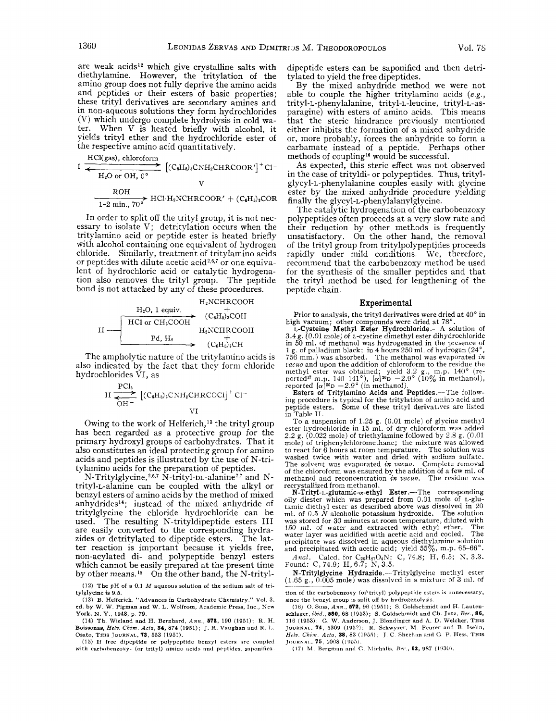are weak acids<sup>12</sup> which give crystalline salts with diethylamine. However, the tritylation of the amino group does not fully deprive the amino acids and peptides or their esters of basic properties; these trityl derivatives are secondary amines and in non-aqueous solutions they form hydrochlorides (V) which undergo complete hydrolysis in cold water. When V is heated briefly with alcohol, it the respective amino acid quantitatively.

$$
\begin{array}{r}\n\text{yields trivial, the model of the Heylrochloride, the respective amino acid quantitatively.} \\
\hline\n\text{HCl(gas), chloroform} \\
\hline\n\text{H}_2\text{O or OH, 0}^\circ\n\end{array}\n\begin{array}{r}\n\text{[C}_6\text{H}_8)_8\text{CNH}_2\text{CHRCOOR}^\prime\n\end{array}\n\begin{array}{r}\n\text{C}_1\text{-H}_2\text{NCHRCOOR}^\prime + \text{C}_6\text{H}_5\text{)}\n\end{array}
$$

In order to split off the trityl group, it is not necessary to isolate V; detritylation occurs when the tritylamino acid or peptide ester is heated briefly with alcohol containing one equivalent of hydrogen chloride. Similarly, treatment of tritylamino acids or peptides with dilute acetic acid<sup>2,6,7</sup> or one equivalent of hydrochloric acid or catalytic hydrogenation also removes the trityl group. The peptide bond is not attacked by any of these procedures.



The ampholytic nature of the tritylamino acids is also indicated by the fact that they form chloride hydrochlorides VI, as

$$
II \xrightarrow{\text{PCl}_5} [(C_6H_5)_3 \text{CNH}_2 \text{CHRCOCl}]^{+} \text{Cl}^{-}
$$
  
VI

Owing to the work of Helferich,<sup>13</sup> the trityl group has been regarded as a protective group for the primary hydroxyl groups of carbohydrates. That it also constitutes an ideal protecting group for amino acids and peptides is illustrated by the use of N-tritylamino acids for the preparation of peptides.

N-Tritylglycine, <sup>2,6,7</sup> N-trityl-p<sub>L</sub>-alanine<sup>2,7</sup> and Ntrityl-L-alanine can be coupled with the alkyl or benzyl esters of amino acids by the method of mixed anhydrides<sup>14</sup>; instead of the mixed anhydride of tritylglycine the chloride hydrochloride can be used. The resulting N-trityldipeptide esters I11 are easily converted to the corresponding hydra-zides or detritylated to dipeptide esters. The latzides or detritylated to dipeptide esters. ter reaction is important because it yields free, non-acylated di- and polypeptide benzyl esters which cannot be easily prepared at the present time by other means.<sup>15</sup> On the other hand, the N-trityl-

**(13) B. Helferich, "Advances** in **Carbohydrate Chemistry,"** Vol. **3, ed. by W. W. Pigman and W.** L. **Wolfrom, Academic Press, Inc., New York, N.** *Y.,* **1948, p. 79.** 

**(14) Th. Wieland and H. Bernhard,** *Ann., 672,* **190 (1951); R. H. Boissonas,** *Hclw. Chim. Acta,* **34, 874 (1951); J. R. Vaughan and R.** I,. **Osato, THIS JOURNAL, 73, 553 (1951).** 

(15) If free dipeptide or polypeptide benzyl esters are coupled **with carhohenrory- (or trityl)** amino **xcids nod prptides. snponifica** 

dipeptide esters can be saponified and then detritylated to yield the free dipeptides.

By the mixed anhydride method we were not able to couple the higher tritylamino acids **(e.g.,**  trityl-L-phenylalanine, trityl-L-leucine, trityl-L-asparagine) with esters of amino acids. This means that the steric hindrance previously mentioned either inhibits the formation of a mixed anhydride or, more probably, forces the anhydride to form a carbamate instead of a peptide. Perhaps other methods of coupling<sup>16</sup> would be successful.

**As** expected, this steric effect was not observed in the case of trityldi- or polypeptides. Thus, tritylglycyl-L-phenylalanine couples easily with glycine ester by the mixed anhydride procedure yielding finally the glycyl-L-phenylalanylglycine.

The catalytic hydrogenation of the carbobenzoxy polypeptides often proceeds at a very slow rate and their reduction by other methods is frequently unsatisfactory. On the other hand, the removal of the trityl group from tritylpolypeptides proceeds rapidly under mild conditions. We, therefore, recommend that the carbobenzoxy method be used for the synthesis of the smaller peptides and that the trityl method be used for lengthening of the peptide chain.

#### **Experimental**

Prior to analysis, the trityl derivatives were dried at 40" in high vacuum; other compounds were dried at 78°.<br>
L-Cysteine Methyl Ester Hydrochloride.—A solution of

**3.4** g. (0.01 mole) of L-cystine dimethyl ester dihydrochloride in 50 ml. of methanol was hydrogenated in the presence **of**  1 g. of palladium black; in 4 hours 250 ml. of hydrogen (24°,<br>756 mm.) was absorbed. The methanol was evaporated *in z'acuo* and upon the addition of chloroform to the residue the methyl ester was obtained; yield 3.2 g., m.p. 140' (reported<sup>17</sup> m.p. 140–141°),  $[\alpha]^{20}D -2.9^{\circ}$  (10% in methanol), reported  $[\alpha]^{20}D -2.9^{\circ}$  (in methanol). **Esters of Tritylamino Acids and Peptides**.—The follow-

ing procedure is typical for the tritylation of amino acid and peptide esters. Some of these trityl derivatives are listed in Table 11.

To a suspension of 1.25 g. (0.01 mole) of glycine methyl ester hydrochloride in 15 ml. of dry chloroform was added 2.2 g. (0.022 mole) of triethylamine followed by 2.8 g. (0.01 mole) of triphenylchloromethane; the mixture was allowed to react for 6 hours at room temperature. The solution was washed twice with water and dried with sodium sulfate. The solvent was evaporated *in vacuo.* Complete removal of the chloroform was ensured by the addition of a few ml. of methanol and reconcentration *in vacuo.* The residue was recrystallized from methanol.

N-Trityl-L-glutamic- $\alpha$ -ethyl Ester.-The corresponding oily diester which was prepared from 0.01 mole of L-glutamic diethyl ester as described above was dissolved in 20 ml. of  $0.5\ \dot{N}$  alcoholic potassium hydroxide. The solution was stored for 30 minutes at room temperature, diluted with 150 ml. of water and extracted with ethyl ether. The water layer was acidified with acetic acid and cooled. The 150 ml. of water and extracted with ethyl ether. The water layer was acidified with acetic acid and cooled. The precipitate was dissolved in aqueous diethylamine solution and precipitated with acetic acid; yield  $55\%$ , m.p.  $65-66^{\circ}$ .

*Anal.* Calcd. for C<sub>26</sub>H<sub>27</sub>O<sub>4</sub>N: C, 74.8; H, 6.5; N, 3.3. Found: C, 74.9; H, 6.7; N, 3.5.

N-Tritylglycine Hydrazide.-Tritylglycine methyl ester **N-Tritylglycine Hydrazide.**—Tritylglycine methyl ester (1.65 g., 0.005 mole) was dissolved in a mixture of 3 ml. of

tion of the carbobenzoxy (or<sup>t</sup> trityl) polypeptide esters is unnecessary, **since the benzyl group is split** off **by hydrogenolysis.** 

**(16) 0. Suss,** *Ann.,* **672, 96 (1951);** *S* **Goldschmidt and H. 1,auten-schlaaer,** *ibid., 560,* **68 (1953); S. Goldschmidt and Ch. Jutz,** *Ber.,* **86, 116 (1953);** G. **W. Anderson,** J. **Blondinger and A.** D. **Welcher, THIS**  JOURNAL, 74, 5309 (1952); R. Schwyzer, M. Feurer and B. Iselin, *Hrlu. Chin.* **Ada, 38, 83 (I95.5),** J. *C* **Sheehan and C>** P. **He%. THIS JOUWNAI, 76, 1008 (1955,** 

**(17)** M. **Rrrgrn:in nnil** *C..* **hlirhnlis.** *HPK,* **63, !IS7 (l!CW).** 

**<sup>(12)</sup> The pH of a 0.1** *M* **aqueous solution of the sodium salt of tri**tylglycine is 9.5.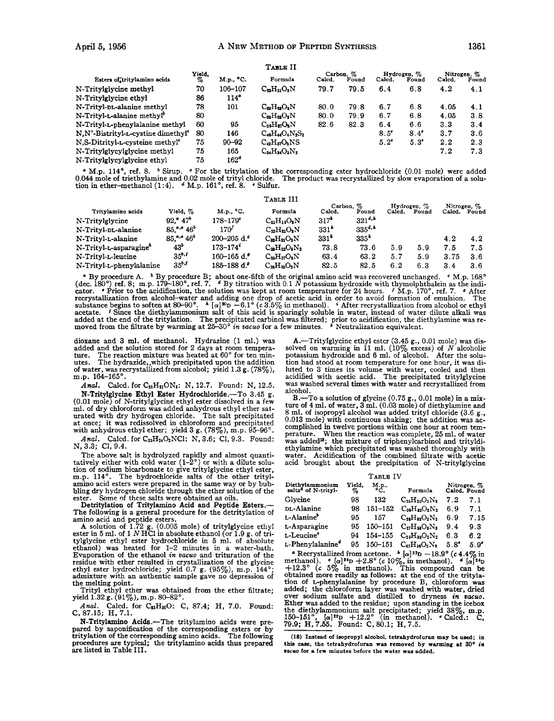|                                                |                |                  | TABLE II                |        |                    |               |                      |        |                      |
|------------------------------------------------|----------------|------------------|-------------------------|--------|--------------------|---------------|----------------------|--------|----------------------|
| Esters of tritylamino acids                    | Yield,<br>$\%$ | M.p., °C.        | Formula                 | Calcd. | Carbon, %<br>Found | Calcd.        | Hydrogen, %<br>Found | Calcd. | Nitrogen, %<br>Found |
| N-Tritylglycine methyl                         | 70             | 106-107          | $C_{22}H_{21}O_2N$      | 79.7   | 79.5               | 6.4           | 6.8                  | 4.2    | 4.1                  |
| N-Tritylglycine ethyl                          | 86             | 114 <sup>°</sup> |                         |        |                    |               |                      |        |                      |
| N-Trityl-pt-alanine methyl                     | 78             | 101              | $C_{23}H_{23}O_2N$      | 80.0   | 79.8               | 6.7           | 6.8                  | 4.05   | 4.1                  |
| N-Trityl-L-alanine methyl <sup>o</sup>         | 80             |                  | $C_{22}H_{22}O_2N$      | 80.0   | 79.9               | 6.7           | 6.8                  | 4.05   | 3.8                  |
| N-Trityl-L-phenylalanine methyl                | 60             | 95               | $C_{29}H_{27}O_2N$      | 82.6   | 82.3               | 6.4           | 6.6                  | 3.3    | 3.4                  |
| N.N'-Bistrityl-L-cystine dimethyl <sup>e</sup> | 80             | 146              | $C_{48}H_{44}O_4N_2S_2$ |        |                    | $8.5^\circ$   | $8.4^\circ$          | 3.7    | 3.6                  |
| N.S-Ditrityl-L-cysteine methyl <sup>e</sup>    | 75             | $90 - 92$        | $C_{42}H_{37}O_2NS$     |        |                    | $5.2^{\circ}$ | $5.3^\circ$          | 2.2    | 2.3                  |
| N-Tritylglycylglycine methyl                   | 75             | 165              | $C_{24}H_{24}O_2N_2$    |        |                    |               |                      | 7.2    | 7.3                  |
| N-Tritylglycylglycine ethyl                    | 75             | 162 <sup>o</sup> |                         |        |                    |               |                      |        |                      |

0.044 mole of triethylamine and 0.02 mole of trityl chloride. The product was recrystallized by slow evaporation of a solution in ether-methanol (1:4). <sup>*e*</sup> M.p. 161°, ref. 8. *•* Sulfur. <sup>a</sup> M.p. 114°, ref. 8. <sup>b</sup> Sirup. <sup>e</sup> For the tritylation of the corresponding ester hydrochloride (0.01 mole) were added

|                          |                 |                          | TABLE III            |                  |             |        |             |             |       |
|--------------------------|-----------------|--------------------------|----------------------|------------------|-------------|--------|-------------|-------------|-------|
|                          |                 |                          |                      | Carbon. %        |             |        | Hydrogen, % | Nitrogen, % |       |
| Tritylamino acids        | Yield, %        | M.p., °C.                | Formula              | Calcd.           | Found       | Calcd. | Found       | Caled.      | Found |
| N-Tritylglycine          | 92.°~47'        | $178 - 179$ <sup>c</sup> | $C_{21}H_{19}O_2N$   | $317^k$          | $321^{d,k}$ |        |             |             |       |
| N-Trityl-pL-alanine      | $85.^{a,e}46^b$ | 170'                     | $C_{22}H_{21}O_2N$   | 331 <sup>k</sup> | $335^{d,*}$ |        |             |             |       |
| N-Trityl-L-alanine       | $85.^{a,e}46^b$ | $200 - 205$ d.           | $C_{22}H_{21}O_2N$   | $331*$           | $335*$      |        |             | 4.2         | 4.2   |
| N-Trityl-L-asparagine"   | $43^{\circ}$    | $173 - 174$ <sup>*</sup> | $C_{22}H_{22}O_2N_2$ | 73.8             | 73.6        | 5.9    | 5.9         | 7.5         | 7.5   |
| N-Trityl-L-leucine       | $35^{b,j}$      | 160-165 d. $9$           | $C_{2b}H_{27}O_2N$   | 63.4             | 63.2        | 5.7    | 5.9         | 3.75        | 3.6   |
| N-Trityl-L-phenylalanine | $35^{b.i}$      | $185 - 188$ d.           | $C_{28}H_{26}O_2N$   | 82.5             | 82.5        | 6.2    | 6.3         | 3.4         | 3.6   |

<sup>4</sup> By procedure A. <sup>b</sup> By procedure B; about one-fifth of the original amino acid was recovered unchanged. <sup>c</sup> M.p. 168°<br>ec. 180°) ref. 8; m.p. 179–180°, ref. 7. <u>d By titration with 0.1 N potassium hydroxide with thymol</u> (dec. 180°) ref. 8; m.p. 179-180°, ref. 7. <sup>a</sup> By titration with 0.1 N potassium hydroxide with thymolphthalein as the indicator. **Prior** to the acidification, the solution was kept at room temperature for 24 hours. <sup>f</sup> M. recrystallization from alcohol-water and adding one drop of acetic acid in order to avoid formation of emulsion. The<br>substance begins to soften at 80–90°.  $\hbar [\alpha]^{20}D - 6.1^{\circ} (c 3.5\%$  in methanol). After recrystallizati acetate. *i* Since the diethylammonium salt of this acid is sparingly soluble in water, instead of water dilute alkali was<br>added at the end of the tritylation. The precipitated carbinol was filtered; prior to acidificatio

dioxane and **3** ml. of methanol. Hydrazine **(1** ml.) was added and the solution stored for **2** days at room tempera-ture. The reaction mixture was heated at **60"** for ten minutes. The hydrazide,.which precipitated upon the addition of water, was recrystallized from alcohol; yield **1.3** g. **(78%),**  m.p. **164-165'.** 

Anal. Calcd. for C<sub>21</sub>H<sub>21</sub>ON<sub>3</sub>: N, 12.7. Found: N, 12.5.

N-Tritylglycine Ethyl Ester Hydrochloride.-To **3.45** g. **(0.01** mole) of N-tritylglycine ethyl ester dissolved in a few **ml.** of dry chloroform was added anhydrous ethyl ether saturated with dry hydrogen chloride. The salt precipitated at once; it was redissolved in chloroform and precipitated with anhydrous ethyl ether; yield 3 g. (78%), m.p. 95-96°.

*Anal.* Calcd. for C<sub>23</sub>H<sub>24</sub>O<sub>2</sub>NCl: N, 3.6; C1, 9.3. Found: N, **3.3; C1,9.4.** 

The above salt is hydrolyzed rapidly and almost quantitatively either with cold water  $(1-2^{\circ})$  or with a dilute solution of sodium bicarbonate to give tritylglycine ethyl ester, m.p. 114°. The hydrochloride salts of the amino acid esters were prepared in the same way or by bubbling dry hydrogen chloride through the ether solution of the ester. Some of these salts were obtained as oils.

Detritylation **of** Tritylamino Acid and Peptide Esters.- The following is a general procedure for the detritylation of

amino acid and peptide esters. A solution of **1.72** g. **(0.005** mole) of tritylglycine ethyl ester in **5 ml.** of **1** *N* HCl in absolute ethanol (or **1.9** g. of tritylglycine ethyl ester hydrochloride in **5** ml. of absolute ethanol) was heated for **1-2** minutes in a water-bath. Evaporation of the ethanol *in vacuo* and trituration of the residue with ether resulted in crystallization of the glycine ethyl ester hydrochloride; yield **0.7** g. **(95%),** m.p. **144';**  admixture with an authentic sample gave **no** depression of

the melting point. Trityl ethyl ether was obtained from the ether filtrate; yield **1.32g. (91%), m.p. 80-82'.** 

Anal. Calcd. for C<sub>21</sub>H<sub>20</sub>O: C, 87.4; H, 7.0. Found: *C.* **87.15;** H, **7.1.** 

N-Tritylamino Acids.-The tritylamino acids were pre-pared by saponification of the corresponding esters or by tritylation of the corresponding amino acids. The following procedures are typical; the tritylamino acids thus prepared are listed in Table **111.** 

A.-Tritylglycine ethyl ester (3.45 g., 0.01 mole) was dissolved on warming in **11** ml. **(10%** excess) of *N* alcoholic potassium hydroxide and **6** ml. of alcohol. After the solution had stood at room temperature for one hour, it was diluted to **3** times its volume with water, cooled and then acidified with acetic acid. The precipitated tritylglycine was washed several times with water and recrystallized from alcohol.

B.-To a solution of glycine **(0.75** g., **0.01** mole) in a mixture of **4** ml. of water, **3 ml. (0.03** mole) of diethylamine and 8 ml. of isopropyl alcohol was added trityl chloride **(3.6** g., **0.013** mole) with continuous shaking; the addition was ac- complished in twelve portions within one hour at room temperature. When the reaction was complete, **25** ml. of water was added"; the mixture of triphenylcarbinol and trityldiethylamine which precipitated was washed thoroughly with water. Acidification of the combined filtrate with acetic acid brought about the precipitation of N-tritylglycine

#### TABLE **IV**

| Diethylammonium<br>salts <sup>a</sup> of N-trityl- | Yield.<br>% | M.p.,       | Formula              |               | Nitrogen, %<br>Calcd. Found |
|----------------------------------------------------|-------------|-------------|----------------------|---------------|-----------------------------|
| Glycine                                            | 98          | 132         | $C_{25}H_{30}O_2N_2$ | 7.2           | 7.1                         |
| <b>DL-Alanine</b>                                  | 98          | 151–152     | $C_{26}H_{22}O_2N_2$ | 6.9           | 7.1                         |
| L-Alanine°                                         | 95          | 157         | $C_{26}H_{22}O_2N_2$ | 6.9           | 7.15                        |
| L-Asparagine                                       | 95          | $150 - 151$ | $C_{27}H_{22}O_8N_3$ | 9.4           | 9.3                         |
| L-Leucine°                                         | 94          | 154-155     | $C_{29}H_{28}O_2N_2$ | 6.3           | 6.2                         |
| L-Phenylalanine <sup>6</sup>                       | 95          | 150-151     | $C_{32}H_{36}O_2N_2$ | $5.8^{\circ}$ | $5.9^{\circ}$               |

<sup>•</sup> Recrystallized from acetone. <sup>b</sup> [ $\alpha$ ]<sup>22</sup>D -18.9° (c 4.4% in methanol). <sup>*e*</sup> [ $\alpha$ ]<sup>24</sup>D +2.8° (c 10%), in methanol). <sup>*d*</sup> [ $\alpha$ ]<sup>24</sup>D +12.3° (c 5% in methanol). This compound can be obtained more readily as follo tion of L-phenylalanine by procedure B, chloroform was added; the chloroform layer was washed with water, dried over sodium sulfate and distilled to dryness *in oacuo.*  Ether was added to the residue; upon standing in the icebox the diethylammonium salt precipitated; yield  $38\%$ , m.p.  $150-151^\circ$ ,  $[\alpha]^{32}D +12.2^\circ$  (in methanol). *'Calcd.: C*,  $79.9$ ; H, 7.55. Found: C, 80.1; H, 7.5. Recrystallized from acetone.

**(18) Instead of isopropyl alcohol, tetrahydrofuran may be used: in this case, the tetrahydrofuran was removed by warming at 30° in wocyo for a few minutes before the water wag added.**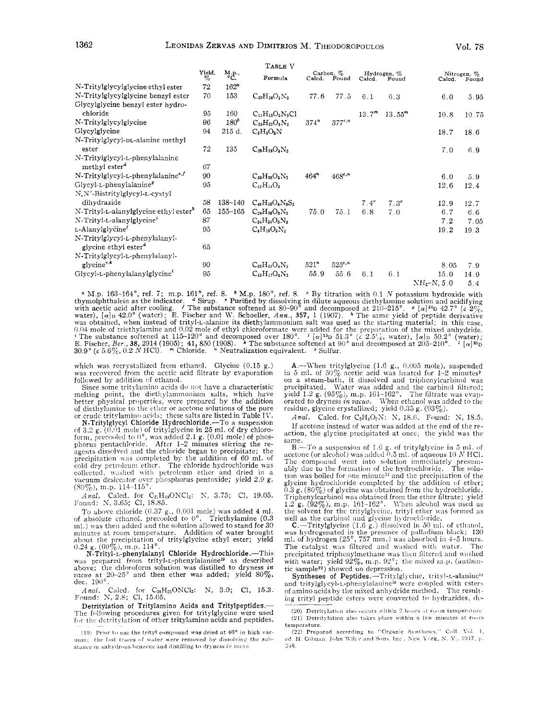|                                                   |             |                       | TABLE V                 |      |                           |             |                             |               |                      |
|---------------------------------------------------|-------------|-----------------------|-------------------------|------|---------------------------|-------------|-----------------------------|---------------|----------------------|
|                                                   | Yield,<br>% | $^{M.p.,}_{\circ C.}$ | Formula                 |      | Carbon, %<br>Calcd. Found | Calcd.      | Hydrogen, %<br>Found        | Calcd.        | Nitrogen, %<br>Found |
| N-Tritylglycylglycine ethyl ester                 | 72          | $162^{\circ}$         |                         |      |                           |             |                             |               |                      |
| N-Tritylglycylglycine benzyl ester                | 70          | 153                   | $C_{30}H_{28}O_3N_2$    | 77.6 | 77.5                      | 6.1         | 6.3                         | 6.0           | 5.95                 |
| Glycylglycine benzyl ester hydro-                 |             |                       |                         |      |                           |             |                             |               |                      |
| chloride                                          | 95          | 160                   | $C_{11}H_{15}O_3N_2Cl$  |      |                           |             | $13.7^m$ 13.55 <sup>m</sup> | 10.8          | 10.75                |
| N-Tritylglycylglycine                             | 96          | $180^b$               | $C_{23}H_{22}O_3N_2$    | 374" | $377^{c,n}$               |             |                             |               |                      |
| Glycylglycine                                     | 94          | 215 d.                | $C_2H_5O_2N$            |      |                           |             |                             | 18.7          | 18.6                 |
| N-Tritylglycyl-pL-alanine methyl                  |             |                       |                         |      |                           |             |                             |               |                      |
| ester                                             | 72          | 135                   | $C_{25}H_{26}O_3N_2$    |      |                           |             |                             | 7.0           | 6.9                  |
| N-Tritylglycyl-L-phenylalanine                    |             |                       |                         |      |                           |             |                             |               |                      |
| methyl ester <sup>4</sup>                         | 67          |                       |                         |      |                           |             |                             |               |                      |
| N-Tritylglycyl-t-phenylalanine <sup>6,f</sup>     | 90          |                       | $C_{30}H_{28}O_3N_2$    | 464" | $468^{c}$                 |             |                             | 6.0           | 5.9                  |
| $Glycyl-L-phenylalanineq$                         | 95          |                       | $C_{11}H_{14}O_3$       |      |                           |             |                             | 12.6          | 12.4                 |
| N, N'-Bistritylglycyl-L-cystyl                    |             |                       |                         |      |                           |             |                             |               |                      |
| dihydrazide                                       | 58          | $138 - 140$           | $C_{48}H_{50}O_4N_8S_2$ |      |                           | $7.4^\circ$ | $7.3^\circ$                 | 12.9          | 12.7                 |
| N-Trityl-L-alanylglycine ethyl ester <sup>®</sup> | 65          | $155 - 165$           | $C_{26}H_{28}O_3N_2$    | 75.0 | 75.1                      | 6.8         | 7.0                         | 6.7           | 6.6                  |
| N-Trityl-L-alanylglycine <sup>1</sup>             | 87          |                       | $C_{24}H_{24}O_3N_2$    |      |                           |             |                             | 7.2           | 7.05                 |
| L-Alanylglycine <sup>1</sup>                      | 95          |                       | $C_5H_{10}O_3N_2$       |      |                           |             |                             | 19.2          | 19.3                 |
| N-Tritylglycyl-L-phenylalanyl-                    |             |                       |                         |      |                           |             |                             |               |                      |
| glycine ethyl ester <sup>d</sup>                  | 65          |                       |                         |      |                           |             |                             |               |                      |
| N-Tritylglycyl-L-phenylalanyl-                    |             |                       |                         |      |                           |             |                             |               |                      |
| glycine <sup>e,k</sup>                            | 90          |                       | $C_{32}H_{31}O_4N_3$    | 521" | $525^{c}$ ."              |             |                             | 8.05          | 7.9                  |
| Glycyl-L-phenylalanylglycine                      | 95          |                       | $C_{13}H_{17}O_4N_3$    | 55.9 | 55.6                      | 6.1         | 6.1                         | 15.0          | 14.9                 |
|                                                   |             |                       |                         |      |                           |             |                             | $NH_2-N, 5.0$ | 5.4                  |

M.p. 163-164°, ref. 7; m.p. 161°, ref. 8.  $\cdot$  M.p. 180°, ref. 8.  $\cdot$  By titration with 0.1 N potassium hydroxide with thymolphthalein as the indicator. <br>with acetic acid after cooling. <br>with acetic acid after cooling. <br>The substance softened at 80–90° and decomposed at 210–215°. <br>water),  $[\alpha]_D$  42.0° (water); E. Fischer and W. Schoeller 0.04 mole of triethylamine and 0.02 mole of ethyl chloroformate were added for the preparation of the mixed anhydride.<br>
<sup>2</sup> The substance softened at 115-120° and decomposed over 180°. <sup>1</sup> [ $\alpha$ ]<sup>23</sup>D 51.3° ( $c$  2.5<sup> $\epsilon$ </sup> <sup>d</sup> Sirup.  $\circ$  Purified by dissolving in dilute aqueous diethylamin The substance softened at  $80-90^{\circ}$  and decomposed at  $210-215^{\circ}$ The substance softened at 115–120° and decomposed over 180°.  $i [\alpha]^{23}D 51.3^{\circ}$  (c 2.5%, water),  $[\alpha]_{D} 50.2^{\circ}$ .<br>
Fischer, Ber., 38, 2914 (1905); 41, 850 (1908). A The substance softened at 90° and decomposed at 205–

which was recrystallized from ethanol. Glycine (0.15 g.) was recovered from the acetic acid filtrate by evaporation followed by addition of ethanol.

Since some tritylamino acids do not have a characteristic melting point, the diethylammonium salts, which have better physical properties, were prepared by the addition of diethylamine to the ether or acetone solutions of the pure or crude tritylamino acids; these salts are listed in Table IV.

N-Tritylglycyl Chloride Hydrochloride.-To a suspension of 3.2 g.  $(0.01 \text{ mole})$  of tritylglycine in 25 ml. of dry chloroform, precooled to  $0^\circ$ , was added  $2.1$  g. (0.01 mole) of phosphorus pentachloride. After 1-2 minutes stirring the re-agents dissolved and the chloride began to precipitate; the precipitation was completed by the addition of 60 ml. of<br>cold dry petroleum ether. The chloride hydrochloride was collected, washed with petroleum ether and dried in a vacuum desiccator over phosphorus pentoxide; yield 2.9 g.  $(80\%)$ , m.p. 114-115<sup>°</sup>

*Anal.* Calcd. for C<sub>21</sub>H<sub>19</sub>ONCl<sub>2</sub>: N, 3.75; Cl, 19.05. Found: N, 3.65; Cl, 18.85.

To above chloride (0.37 g., 0.001 mole) was added 4 ml. of absolute ethanol, precooled to  $0^{\circ}$ . Triethylamine (0.3 ml.) was then added and the solution allowed to stand for 30 minutes at room temperature. Addition of water brought about the precipitation of tritylglycine ethyl ester; yield  $0.24$  g.  $(69\%)$ , m.p.  $114^{\circ}$ 

N-Trityl-L-phenylalanyl Chloride Hydrochloride.--This was prepared from trityl-L-phenylalanine<sup>19</sup> as described above; the cliloroforrn solution was distilled to dryness *in vacuo* at 20-25° and then ether was added; yield  $80\%$ , dec. 100°.

*Anal.* Calcd. for C<sub>25</sub>H<sub>25</sub>ONCl<sub>2</sub>: N, 3.0; Cl, 15.3. Found: N, 2.8; Cl, 15.05.

Detritylation of Tritylamino Acids and Trity1peptides.- The following procedures given for tritylglycine were used for the detritylation of other tritylamino acids and peptides.

:IO1 Prior to use the trityl compound **was** dried at 40' in high vacleft traces of water were removed by dissolving the substance in anhydrous benzene and distilling to dryncss in vacuo.

**A.**—When tritylglycine (1.6 g., 0.005 mole), suspended in 5 ml. of 50% acetic acid was heated for 1–2 minutes<sup>2</sup> on a steam-bath, it dissolved and triphenylcarbinol was precipitated. Water was added and the carbinol filtered; yield 1.2 g. (95%), m.p. 161-162°. The filtrate was evaporated to dryness *in vacuo*. When ethanol was added to the residue, glycine crystallized; yield 0.35 g. (93%).

Anal. Calcd. for C<sub>2</sub>H<sub>5</sub>O<sub>2</sub>N: N, 18.6. Found: N, 18.5. If acetone instead of water was added at the end of the re-<br>action, the glycine precipitated at once; the yield was the<br>same.<br>B.-To a suspension of 1.6 g. of tritylglycine in 5 ml. of

acetone (or alcohol) was added  $\overline{0.5}$  ml. of aqueous 10 *N* HCl. The compound went into solution immediately presumably due to the formation of the hydrochloride. The solution was boiled for one minute<sup>21</sup> and the precipitation of the glycine hydrochloride completed by the addition of ether; 0.3 g. (80%) of glycine was obtained from the hydrochloride. Triphenylcarbinol was obtained from the ether filtrate; yield  $1.2 \text{ g}$ .  $(92\%)$ , m.p.  $161-162^{\circ}$ . When alcohol was used as the solvent for the tritylglycine, trityl ether was formed as well as the carbinol and glycine hydrochloride.

**C.**--Tritylglycine  $(1.6 \text{ g.})$  dissolved in 50 ml. of ethanol, was hydrogenated in the presence of palladium black; 130 ml. of hydrogen ( $25^{\circ}$ , 757 mm.) was absorbed in 4-5 hours. The catalyst was filtered and washed with water. The precipitated triphenylmethane was then filtered and washed with water; yield  $92\%$ , m.p.  $92^\circ$ ; the mixed m.p. (authentic sample<sup>22</sup>) showed no depression.

Syntheses of Peptides.-Tritylglycine, trityl-L-alanine<sup>19</sup> and tritylglycyl-L-phenylalanine<sup>19</sup> were coupled with esters of amino acids by the mixed anhydride method. The resulting trityl peptide esters were converted to hydrazides, de-

<sup>(20)</sup> Detritylation also occurs within 2 hours at room temperature (21) Detritylation also takes place within a few minutes at room temperature.

<sup>(22)</sup> Prepared according to "Organic Syntheses," Coll. Vol. 1,